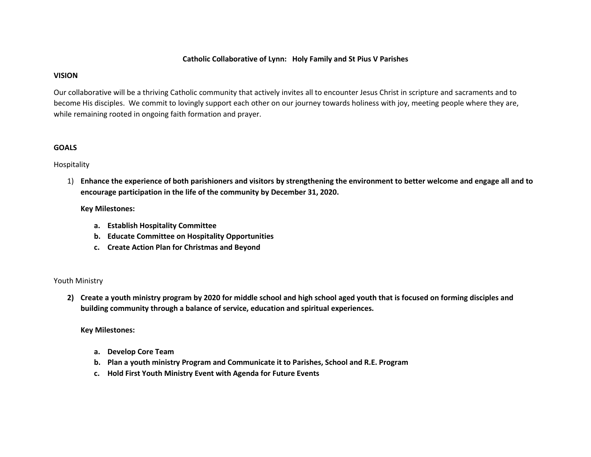#### **Catholic Collaborative of Lynn: Holy Family and St Pius V Parishes**

#### **VISION**

Our collaborative will be a thriving Catholic community that actively invites all to encounter Jesus Christ in scripture and sacraments and to become His disciples. We commit to lovingly support each other on our journey towards holiness with joy, meeting people where they are, while remaining rooted in ongoing faith formation and prayer.

## **GOALS**

### Hospitality

1) **Enhance the experience of both parishioners and visitors by strengthening the environment to better welcome and engage all and to encourage participation in the life of the community by December 31, 2020.**

## **Key Milestones:**

- **a. Establish Hospitality Committee**
- **b. Educate Committee on Hospitality Opportunities**
- **c. Create Action Plan for Christmas and Beyond**

#### Youth Ministry

**2) Create a youth ministry program by 2020 for middle school and high school aged youth that is focused on forming disciples and building community through a balance of service, education and spiritual experiences.**

**Key Milestones:**

- **a. Develop Core Team**
- **b. Plan a youth ministry Program and Communicate it to Parishes, School and R.E. Program**
- **c. Hold First Youth Ministry Event with Agenda for Future Events**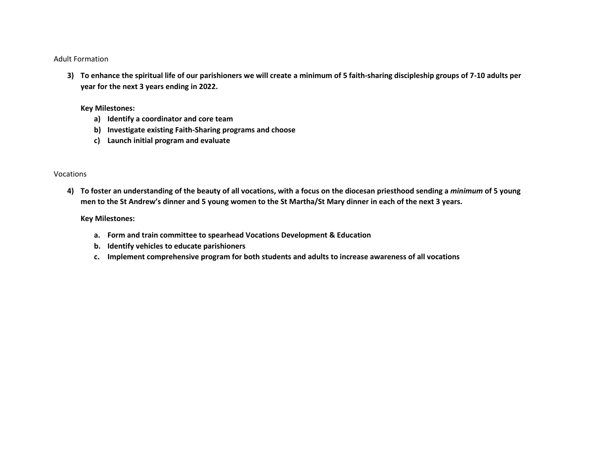#### Adult Formation

**3) To enhance the spiritual life of our parishioners we will create a minimum of 5 faith-sharing discipleship groups of 7-10 adults per year for the next 3 years ending in 2022.**

#### **Key Milestones:**

- **a) Identify a coordinator and core team**
- **b) Investigate existing Faith-Sharing programs and choose**
- **c) Launch initial program and evaluate**

#### Vocations

**4) To foster an understanding of the beauty of all vocations, with a focus on the diocesan priesthood sending a** *minimum* **of 5 young men to the St Andrew's dinner and 5 young women to the St Martha/St Mary dinner in each of the next 3 years.**

#### **Key Milestones:**

- **a. Form and train committee to spearhead Vocations Development & Education**
- **b. Identify vehicles to educate parishioners**
- **c. Implement comprehensive program for both students and adults to increase awareness of all vocations**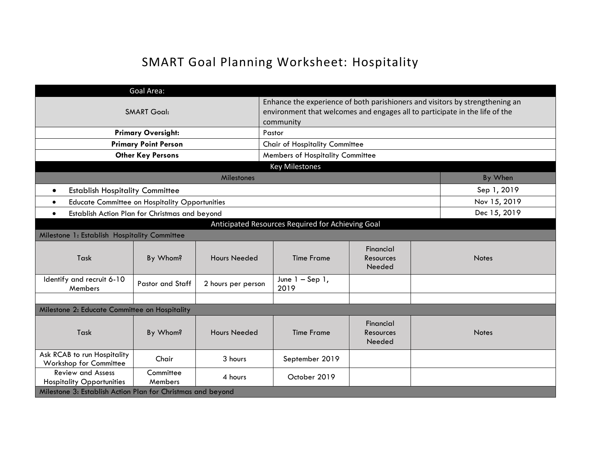# SMART Goal Planning Worksheet: Hospitality

|                                                              | Goal Area:                  |                     |                                                                                                                                                                          |                                  |              |  |  |
|--------------------------------------------------------------|-----------------------------|---------------------|--------------------------------------------------------------------------------------------------------------------------------------------------------------------------|----------------------------------|--------------|--|--|
|                                                              | <b>SMART Goal:</b>          |                     | Enhance the experience of both parishioners and visitors by strengthening an<br>environment that welcomes and engages all to participate in the life of the<br>community |                                  |              |  |  |
|                                                              | <b>Primary Oversight:</b>   |                     | Pastor                                                                                                                                                                   |                                  |              |  |  |
|                                                              | <b>Primary Point Person</b> |                     | Chair of Hospitality Committee                                                                                                                                           |                                  |              |  |  |
|                                                              | <b>Other Key Persons</b>    |                     | Members of Hospitality Committee                                                                                                                                         |                                  |              |  |  |
|                                                              |                             |                     | <b>Key Milestones</b>                                                                                                                                                    |                                  |              |  |  |
|                                                              |                             | Milestones          |                                                                                                                                                                          |                                  | By When      |  |  |
| <b>Establish Hospitality Committee</b>                       |                             |                     |                                                                                                                                                                          |                                  | Sep 1, 2019  |  |  |
| <b>Educate Committee on Hospitality Opportunities</b>        |                             |                     |                                                                                                                                                                          |                                  | Nov 15, 2019 |  |  |
| Establish Action Plan for Christmas and beyond<br>$\bullet$  |                             |                     |                                                                                                                                                                          |                                  | Dec 15, 2019 |  |  |
| Anticipated Resources Required for Achieving Goal            |                             |                     |                                                                                                                                                                          |                                  |              |  |  |
| Milestone 1: Establish Hospitality Committee                 |                             |                     |                                                                                                                                                                          |                                  |              |  |  |
| Task                                                         | By Whom?                    | <b>Hours Needed</b> | <b>Time Frame</b>                                                                                                                                                        | Financial<br>Resources<br>Needed | <b>Notes</b> |  |  |
| Identify and recruit 6-10<br>Members                         | Pastor and Staff            | 2 hours per person  | June $1 -$ Sep 1,<br>2019                                                                                                                                                |                                  |              |  |  |
|                                                              |                             |                     |                                                                                                                                                                          |                                  |              |  |  |
| Milestone 2: Educate Committee on Hospitality                |                             |                     |                                                                                                                                                                          |                                  |              |  |  |
| Task                                                         | By Whom?                    | <b>Hours Needed</b> | <b>Time Frame</b>                                                                                                                                                        | Financial<br>Resources<br>Needed | <b>Notes</b> |  |  |
| Ask RCAB to run Hospitality<br>Workshop for Committee        | Chair                       | 3 hours             | September 2019                                                                                                                                                           |                                  |              |  |  |
| <b>Review and Assess</b><br><b>Hospitality Opportunities</b> | Committee<br>Members        | 4 hours             | October 2019                                                                                                                                                             |                                  |              |  |  |
| Milestone 3: Establish Action Plan for Christmas and beyond  |                             |                     |                                                                                                                                                                          |                                  |              |  |  |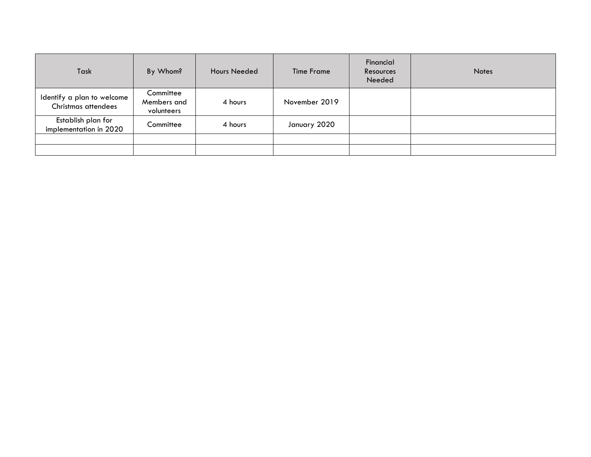| Task                                              | By Whom?                               | <b>Hours Needed</b> | <b>Time Frame</b> | Financial<br>Resources<br>Needed | <b>Notes</b> |
|---------------------------------------------------|----------------------------------------|---------------------|-------------------|----------------------------------|--------------|
| Identify a plan to welcome<br>Christmas attendees | Committee<br>Members and<br>volunteers | 4 hours             | November 2019     |                                  |              |
| Establish plan for<br>implementation in 2020      | Committee                              | 4 hours             | January 2020      |                                  |              |
|                                                   |                                        |                     |                   |                                  |              |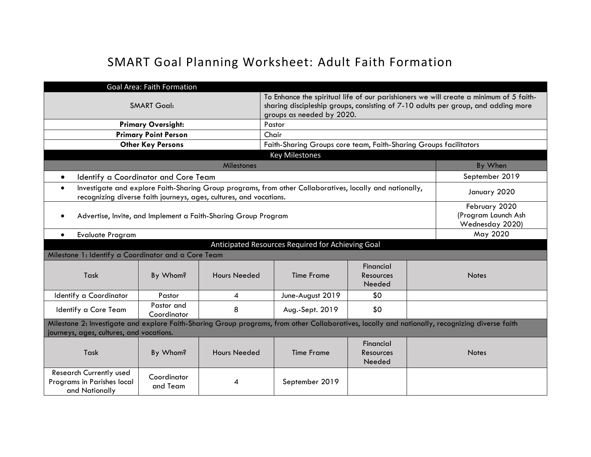# SMART Goal Planning Worksheet: Adult Faith Formation

|                                                                                                                                                                                             | <b>Goal Area: Faith Formation</b>                       |                                                                                                                                                                                                          |                                                                                                          |                                  |  |                |  |
|---------------------------------------------------------------------------------------------------------------------------------------------------------------------------------------------|---------------------------------------------------------|----------------------------------------------------------------------------------------------------------------------------------------------------------------------------------------------------------|----------------------------------------------------------------------------------------------------------|----------------------------------|--|----------------|--|
|                                                                                                                                                                                             | <b>SMART Goal:</b>                                      | To Enhance the spiritual life of our parishioners we will create a minimum of 5 faith-<br>sharing discipleship groups, consisting of 7-10 adults per group, and adding more<br>groups as needed by 2020. |                                                                                                          |                                  |  |                |  |
|                                                                                                                                                                                             | <b>Primary Oversight:</b>                               |                                                                                                                                                                                                          | Pastor                                                                                                   |                                  |  |                |  |
|                                                                                                                                                                                             | <b>Primary Point Person</b>                             |                                                                                                                                                                                                          | Chair                                                                                                    |                                  |  |                |  |
|                                                                                                                                                                                             | <b>Other Key Persons</b>                                |                                                                                                                                                                                                          | Faith-Sharing Groups core team, Faith-Sharing Groups facilitators                                        |                                  |  |                |  |
| <b>Key Milestones</b>                                                                                                                                                                       |                                                         |                                                                                                                                                                                                          |                                                                                                          |                                  |  |                |  |
|                                                                                                                                                                                             |                                                         | <b>Milestones</b>                                                                                                                                                                                        |                                                                                                          |                                  |  | By When        |  |
| Identify a Coordinator and Core Team<br>$\bullet$                                                                                                                                           |                                                         |                                                                                                                                                                                                          |                                                                                                          |                                  |  | September 2019 |  |
| $\bullet$                                                                                                                                                                                   |                                                         | recognizing diverse faith journeys, ages, cultures, and vocations.                                                                                                                                       | Investigate and explore Faith-Sharing Group programs, from other Collaboratives, locally and nationally, |                                  |  | January 2020   |  |
| Advertise, Invite, and Implement a Faith-Sharing Group Program                                                                                                                              | February 2020<br>(Program Launch Ash<br>Wednesday 2020) |                                                                                                                                                                                                          |                                                                                                          |                                  |  |                |  |
| <b>Evaluate Program</b><br>$\bullet$                                                                                                                                                        |                                                         |                                                                                                                                                                                                          |                                                                                                          |                                  |  | May 2020       |  |
|                                                                                                                                                                                             |                                                         |                                                                                                                                                                                                          | Anticipated Resources Required for Achieving Goal                                                        |                                  |  |                |  |
| Milestone 1: Identify a Coordinator and a Core Team                                                                                                                                         |                                                         |                                                                                                                                                                                                          |                                                                                                          |                                  |  |                |  |
| Task                                                                                                                                                                                        | By Whom?                                                | <b>Hours Needed</b>                                                                                                                                                                                      | <b>Time Frame</b>                                                                                        | Financial<br>Resources<br>Needed |  | <b>Notes</b>   |  |
| Identify a Coordinator                                                                                                                                                                      | Pastor                                                  | 4                                                                                                                                                                                                        | June-August 2019                                                                                         | \$0                              |  |                |  |
| Pastor and<br>8<br>\$0<br>Identify a Core Team<br>Aug.-Sept. 2019<br>Coordinator                                                                                                            |                                                         |                                                                                                                                                                                                          |                                                                                                          |                                  |  |                |  |
| Milestone 2: Investigate and explore Faith-Sharing Group programs, from other Collaboratives, locally and nationally, recognizing diverse faith<br>journeys, ages, cultures, and vocations. |                                                         |                                                                                                                                                                                                          |                                                                                                          |                                  |  |                |  |
| Task                                                                                                                                                                                        | By Whom?                                                | <b>Hours Needed</b>                                                                                                                                                                                      | <b>Time Frame</b>                                                                                        | Financial<br>Resources<br>Needed |  | <b>Notes</b>   |  |
| <b>Research Currently used</b><br>Programs in Parishes local<br>and Nationally                                                                                                              | Coordinator<br>and Team                                 | 4                                                                                                                                                                                                        | September 2019                                                                                           |                                  |  |                |  |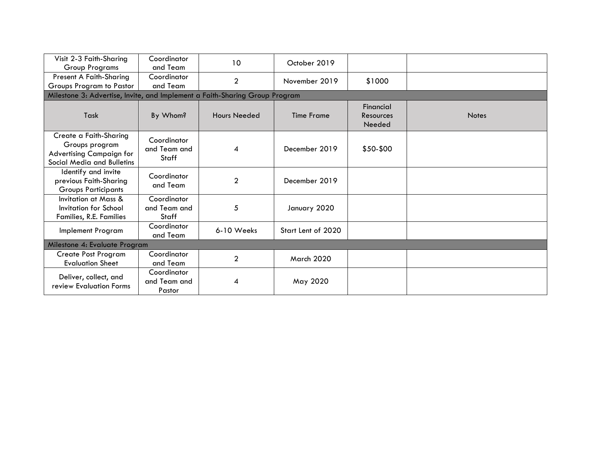| Visit 2-3 Faith-Sharing<br><b>Group Programs</b>                                                          | Coordinator<br>and Team                     | 10                  | October 2019       |                                         |              |  |  |  |  |
|-----------------------------------------------------------------------------------------------------------|---------------------------------------------|---------------------|--------------------|-----------------------------------------|--------------|--|--|--|--|
| Present A Faith-Sharing<br>Groups Program to Pastor                                                       | Coordinator<br>and Team                     | $\overline{2}$      | November 2019      | \$1000                                  |              |  |  |  |  |
| Milestone 3: Advertise, Invite, and Implement a Faith-Sharing Group Program                               |                                             |                     |                    |                                         |              |  |  |  |  |
| Task                                                                                                      | By Whom?                                    | <b>Hours Needed</b> | <b>Time Frame</b>  | Financial<br><b>Resources</b><br>Needed | <b>Notes</b> |  |  |  |  |
| Create a Faith-Sharing<br>Groups program<br><b>Advertising Campaign for</b><br>Social Media and Bulletins | Coordinator<br>and Team and<br>Staff        | 4                   | December 2019      | \$50-\$00                               |              |  |  |  |  |
| Identify and invite<br>previous Faith-Sharing<br><b>Groups Participants</b>                               | Coordinator<br>and Team                     | $\overline{2}$      | December 2019      |                                         |              |  |  |  |  |
| Invitation at Mass &<br>Invitation for School<br>Families, R.E. Families                                  | Coordinator<br>and Team and<br><b>Staff</b> | 5                   | January 2020       |                                         |              |  |  |  |  |
| Implement Program                                                                                         | Coordinator<br>and Team                     | 6-10 Weeks          | Start Lent of 2020 |                                         |              |  |  |  |  |
| Milestone 4: Evaluate Program                                                                             |                                             |                     |                    |                                         |              |  |  |  |  |
| <b>Create Post Program</b><br><b>Evaluation Sheet</b>                                                     | Coordinator<br>and Team                     | $\overline{2}$      | March 2020         |                                         |              |  |  |  |  |
| Deliver, collect, and<br>review Evaluation Forms                                                          | Coordinator<br>and Team and<br>Pastor       | 4                   | May 2020           |                                         |              |  |  |  |  |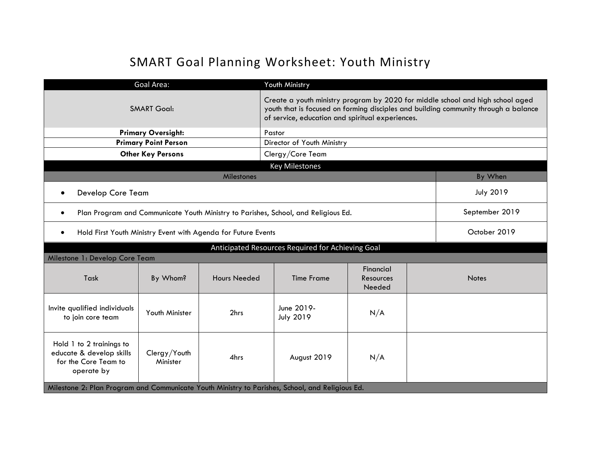# SMART Goal Planning Worksheet: Youth Ministry

|                                                                                                                                                      | Goal Area:                  |            | Youth Ministry                                                                                                                                                                                                            |  |  |                  |  |
|------------------------------------------------------------------------------------------------------------------------------------------------------|-----------------------------|------------|---------------------------------------------------------------------------------------------------------------------------------------------------------------------------------------------------------------------------|--|--|------------------|--|
| <b>SMART Goal:</b>                                                                                                                                   |                             |            | Create a youth ministry program by 2020 for middle school and high school aged<br>youth that is focused on forming disciples and building community through a balance<br>of service, education and spiritual experiences. |  |  |                  |  |
|                                                                                                                                                      | <b>Primary Oversight:</b>   |            | Pastor                                                                                                                                                                                                                    |  |  |                  |  |
|                                                                                                                                                      | <b>Primary Point Person</b> |            | Director of Youth Ministry                                                                                                                                                                                                |  |  |                  |  |
|                                                                                                                                                      | <b>Other Key Persons</b>    |            | Clergy/Core Team                                                                                                                                                                                                          |  |  |                  |  |
|                                                                                                                                                      |                             |            | <b>Key Milestones</b>                                                                                                                                                                                                     |  |  |                  |  |
|                                                                                                                                                      |                             | Milestones |                                                                                                                                                                                                                           |  |  | By When          |  |
| Develop Core Team                                                                                                                                    |                             |            |                                                                                                                                                                                                                           |  |  | <b>July 2019</b> |  |
| Plan Program and Communicate Youth Ministry to Parishes, School, and Religious Ed.<br>$\bullet$                                                      |                             |            |                                                                                                                                                                                                                           |  |  | September 2019   |  |
| Hold First Youth Ministry Event with Agenda for Future Events<br>$\bullet$                                                                           |                             |            |                                                                                                                                                                                                                           |  |  | October 2019     |  |
|                                                                                                                                                      |                             |            | Anticipated Resources Required for Achieving Goal                                                                                                                                                                         |  |  |                  |  |
| Milestone 1: Develop Core Team                                                                                                                       |                             |            |                                                                                                                                                                                                                           |  |  |                  |  |
| Financial<br>Task<br>By Whom?<br><b>Hours Needed</b><br><b>Time Frame</b><br>Resources<br>Needed                                                     |                             |            |                                                                                                                                                                                                                           |  |  | <b>Notes</b>     |  |
| June 2019-<br>Invite qualified individuals<br>Youth Minister<br>2hrs<br>N/A<br><b>July 2019</b><br>to join core team                                 |                             |            |                                                                                                                                                                                                                           |  |  |                  |  |
| Hold 1 to 2 trainings to<br>educate & develop skills<br>Clergy/Youth<br>4hrs<br>August 2019<br>N/A<br>for the Core Team to<br>Minister<br>operate by |                             |            |                                                                                                                                                                                                                           |  |  |                  |  |
| Milestone 2: Plan Program and Communicate Youth Ministry to Parishes, School, and Religious Ed.                                                      |                             |            |                                                                                                                                                                                                                           |  |  |                  |  |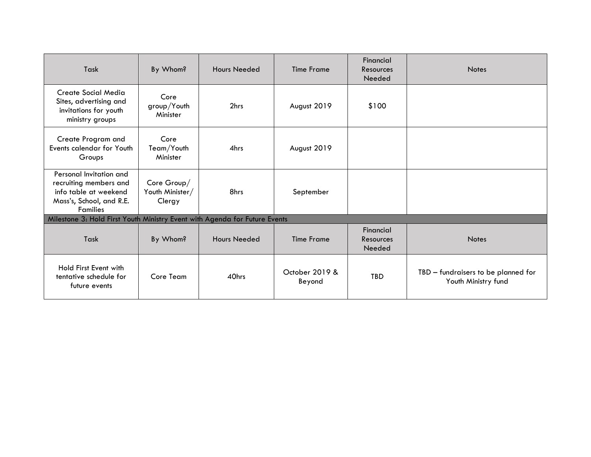| Task                                                                                                                      | By Whom?                                 | <b>Hours Needed</b> | <b>Time Frame</b>        | Financial<br>Resources<br>Needed | <b>Notes</b>                                               |
|---------------------------------------------------------------------------------------------------------------------------|------------------------------------------|---------------------|--------------------------|----------------------------------|------------------------------------------------------------|
| Create Social Media<br>Sites, advertising and<br>invitations for youth<br>ministry groups                                 | Core<br>group/Youth<br>Minister          | 2hrs                | August 2019              | \$100                            |                                                            |
| Create Program and<br>Events calendar for Youth<br>Groups                                                                 | Core<br>Team/Youth<br>Minister           | 4hrs                | August 2019              |                                  |                                                            |
| Personal Invitation and<br>recruiting members and<br>info table at weekend<br>Mass's, School, and R.E.<br><b>Families</b> | Core Group/<br>Youth Minister/<br>Clergy | 8hrs                | September                |                                  |                                                            |
| Milestone 3: Hold First Youth Ministry Event with Agenda for Future Events                                                |                                          |                     |                          |                                  |                                                            |
| Task                                                                                                                      | By Whom?                                 | <b>Hours Needed</b> | <b>Time Frame</b>        | Financial<br>Resources<br>Needed | <b>Notes</b>                                               |
| Hold First Event with<br>tentative schedule for<br>future events                                                          | Core Team                                | 40hrs               | October 2019 &<br>Beyond | TBD                              | TBD - fundraisers to be planned for<br>Youth Ministry fund |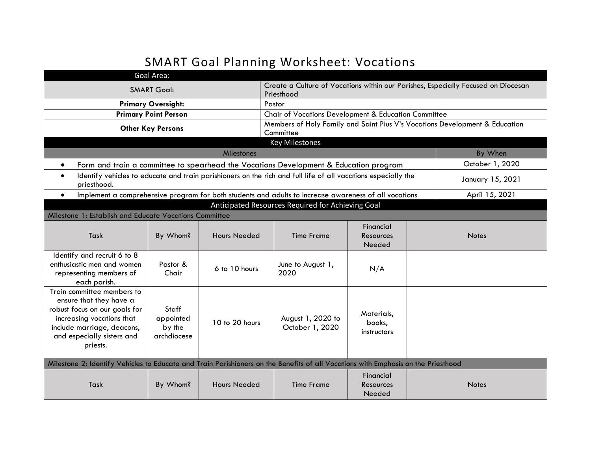# SMART Goal Planning Worksheet: Vocations

|                                                                                                                                                                                             | Goal Area:                                  |                     |                                                                                                               |                                     |  |                                                                             |  |
|---------------------------------------------------------------------------------------------------------------------------------------------------------------------------------------------|---------------------------------------------|---------------------|---------------------------------------------------------------------------------------------------------------|-------------------------------------|--|-----------------------------------------------------------------------------|--|
|                                                                                                                                                                                             | <b>SMART Goal:</b>                          |                     | Create a Culture of Vocations within our Parishes, Especially Focused on Diocesan<br>Priesthood               |                                     |  |                                                                             |  |
|                                                                                                                                                                                             | <b>Primary Oversight:</b>                   |                     | Pastor                                                                                                        |                                     |  |                                                                             |  |
|                                                                                                                                                                                             | <b>Primary Point Person</b>                 |                     | Chair of Vocations Development & Education Committee                                                          |                                     |  |                                                                             |  |
|                                                                                                                                                                                             | <b>Other Key Persons</b>                    |                     |                                                                                                               |                                     |  | Members of Holy Family and Saint Pius V's Vocations Development & Education |  |
|                                                                                                                                                                                             |                                             |                     | Committee                                                                                                     |                                     |  |                                                                             |  |
|                                                                                                                                                                                             |                                             |                     | <b>Key Milestones</b>                                                                                         |                                     |  |                                                                             |  |
|                                                                                                                                                                                             |                                             | Milestones          |                                                                                                               |                                     |  | By When                                                                     |  |
| $\bullet$                                                                                                                                                                                   |                                             |                     | Form and train a committee to spearhead the Vocations Development & Education program                         |                                     |  | October 1, 2020                                                             |  |
| $\bullet$<br>priesthood.                                                                                                                                                                    |                                             |                     | Identify vehicles to educate and train parishioners on the rich and full life of all vacations especially the |                                     |  | January 15, 2021                                                            |  |
| $\bullet$                                                                                                                                                                                   |                                             |                     | Implement a comprehensive program for both students and adults to increase awareness of all vocations         |                                     |  | April 15, 2021                                                              |  |
|                                                                                                                                                                                             |                                             |                     | Anticipated Resources Required for Achieving Goal                                                             |                                     |  |                                                                             |  |
| Milestone 1: Establish and Educate Vocations Committee                                                                                                                                      |                                             |                     |                                                                                                               |                                     |  |                                                                             |  |
| Task                                                                                                                                                                                        | By Whom?                                    | <b>Hours Needed</b> | <b>Time Frame</b>                                                                                             | Financial<br>Resources<br>Needed    |  | <b>Notes</b>                                                                |  |
| Identify and recruit 6 to 8<br>enthusiastic men and women<br>representing members of<br>each parish.                                                                                        | Pastor &<br>Chair                           | 6 to 10 hours       | June to August 1,<br>2020                                                                                     | N/A                                 |  |                                                                             |  |
| Train committee members to<br>ensure that they have a<br>robust focus on our goals for<br>increasing vocations that<br>include marriage, deacons,<br>and especially sisters and<br>priests. | Staff<br>appointed<br>by the<br>archdiocese | 10 to 20 hours      | August 1, 2020 to<br>October 1, 2020                                                                          | Materials,<br>books,<br>instructors |  |                                                                             |  |
| Milestone 2: Identify Vehicles to Educate and Train Parishioners on the Benefits of all Vocations with Emphasis on the Priesthood                                                           |                                             |                     |                                                                                                               |                                     |  |                                                                             |  |
| Task                                                                                                                                                                                        | By Whom?                                    | <b>Hours Needed</b> | <b>Time Frame</b>                                                                                             | Financial<br>Resources<br>Needed    |  | <b>Notes</b>                                                                |  |